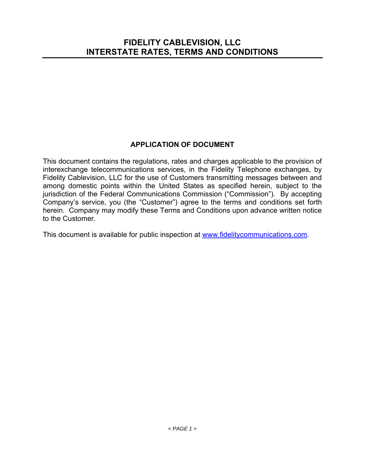# **APPLICATION OF DOCUMENT**

This document contains the regulations, rates and charges applicable to the provision of interexchange telecommunications services, in the Fidelity Telephone exchanges, by Fidelity Cablevision, LLC for the use of Customers transmitting messages between and among domestic points within the United States as specified herein, subject to the jurisdiction of the Federal Communications Commission ("Commission"). By accepting Company's service, you (the "Customer") agree to the terms and conditions set forth herein. Company may modify these Terms and Conditions upon advance written notice to the Customer.

This document is available for public inspection at www.fidelitycommunications.com.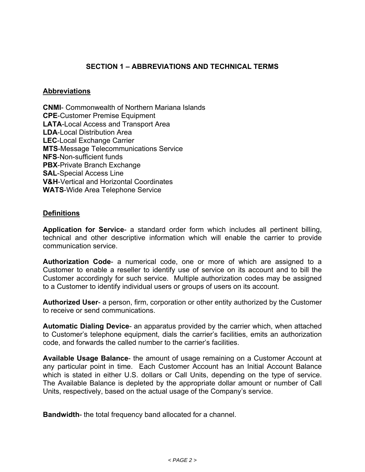# **SECTION 1 – ABBREVIATIONS AND TECHNICAL TERMS**

## **Abbreviations**

**CNMI**- Commonwealth of Northern Mariana Islands **CPE**-Customer Premise Equipment **LATA**-Local Access and Transport Area **LDA-Local Distribution Area LEC**-Local Exchange Carrier **MTS**-Message Telecommunications Service **NFS**-Non-sufficient funds **PBX**-Private Branch Exchange **SAL**-Special Access Line **V&H**-Vertical and Horizontal Coordinates **WATS**-Wide Area Telephone Service

## **Definitions**

**Application for Service**- a standard order form which includes all pertinent billing, technical and other descriptive information which will enable the carrier to provide communication service.

**Authorization Code**- a numerical code, one or more of which are assigned to a Customer to enable a reseller to identify use of service on its account and to bill the Customer accordingly for such service. Multiple authorization codes may be assigned to a Customer to identify individual users or groups of users on its account.

**Authorized User**- a person, firm, corporation or other entity authorized by the Customer to receive or send communications.

**Automatic Dialing Device**- an apparatus provided by the carrier which, when attached to Customer's telephone equipment, dials the carrier's facilities, emits an authorization code, and forwards the called number to the carrier's facilities.

**Available Usage Balance**- the amount of usage remaining on a Customer Account at any particular point in time. Each Customer Account has an Initial Account Balance which is stated in either U.S. dollars or Call Units, depending on the type of service. The Available Balance is depleted by the appropriate dollar amount or number of Call Units, respectively, based on the actual usage of the Company's service.

**Bandwidth**- the total frequency band allocated for a channel.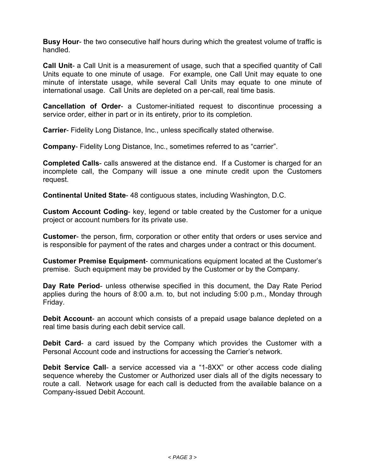**Busy Hour**- the two consecutive half hours during which the greatest volume of traffic is handled.

**Call Unit**- a Call Unit is a measurement of usage, such that a specified quantity of Call Units equate to one minute of usage. For example, one Call Unit may equate to one minute of interstate usage, while several Call Units may equate to one minute of international usage. Call Units are depleted on a per-call, real time basis.

**Cancellation of Order**- a Customer-initiated request to discontinue processing a service order, either in part or in its entirety, prior to its completion.

**Carrier**- Fidelity Long Distance, Inc., unless specifically stated otherwise.

**Company**- Fidelity Long Distance, Inc., sometimes referred to as "carrier".

**Completed Calls**- calls answered at the distance end. If a Customer is charged for an incomplete call, the Company will issue a one minute credit upon the Customers request.

**Continental United State**- 48 contiguous states, including Washington, D.C.

**Custom Account Coding**- key, legend or table created by the Customer for a unique project or account numbers for its private use.

**Customer**- the person, firm, corporation or other entity that orders or uses service and is responsible for payment of the rates and charges under a contract or this document.

**Customer Premise Equipment**- communications equipment located at the Customer's premise. Such equipment may be provided by the Customer or by the Company.

**Day Rate Period**- unless otherwise specified in this document, the Day Rate Period applies during the hours of 8:00 a.m. to, but not including 5:00 p.m., Monday through Friday.

**Debit Account**- an account which consists of a prepaid usage balance depleted on a real time basis during each debit service call.

**Debit Card**- a card issued by the Company which provides the Customer with a Personal Account code and instructions for accessing the Carrier's network.

**Debit Service Call-** a service accessed via a "1-8XX" or other access code dialing sequence whereby the Customer or Authorized user dials all of the digits necessary to route a call. Network usage for each call is deducted from the available balance on a Company-issued Debit Account.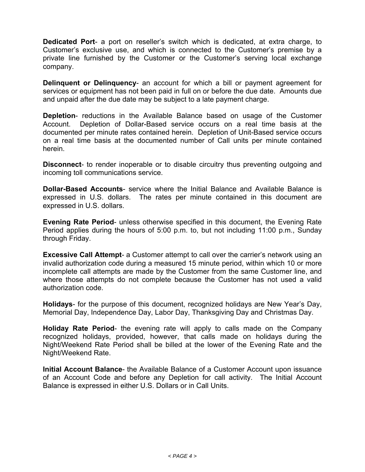**Dedicated Port**- a port on reseller's switch which is dedicated, at extra charge, to Customer's exclusive use, and which is connected to the Customer's premise by a private line furnished by the Customer or the Customer's serving local exchange company.

**Delinquent or Delinquency**- an account for which a bill or payment agreement for services or equipment has not been paid in full on or before the due date. Amounts due and unpaid after the due date may be subject to a late payment charge.

**Depletion**- reductions in the Available Balance based on usage of the Customer Account. Depletion of Dollar-Based service occurs on a real time basis at the documented per minute rates contained herein. Depletion of Unit-Based service occurs on a real time basis at the documented number of Call units per minute contained herein.

**Disconnect**- to render inoperable or to disable circuitry thus preventing outgoing and incoming toll communications service.

**Dollar-Based Accounts**- service where the Initial Balance and Available Balance is expressed in U.S. dollars. The rates per minute contained in this document are expressed in U.S. dollars.

**Evening Rate Period**- unless otherwise specified in this document, the Evening Rate Period applies during the hours of 5:00 p.m. to, but not including 11:00 p.m., Sunday through Friday.

**Excessive Call Attempt**- a Customer attempt to call over the carrier's network using an invalid authorization code during a measured 15 minute period, within which 10 or more incomplete call attempts are made by the Customer from the same Customer line, and where those attempts do not complete because the Customer has not used a valid authorization code.

**Holidays**- for the purpose of this document, recognized holidays are New Year's Day, Memorial Day, Independence Day, Labor Day, Thanksgiving Day and Christmas Day.

**Holiday Rate Period**- the evening rate will apply to calls made on the Company recognized holidays, provided, however, that calls made on holidays during the Night/Weekend Rate Period shall be billed at the lower of the Evening Rate and the Night/Weekend Rate.

**Initial Account Balance**- the Available Balance of a Customer Account upon issuance of an Account Code and before any Depletion for call activity. The Initial Account Balance is expressed in either U.S. Dollars or in Call Units.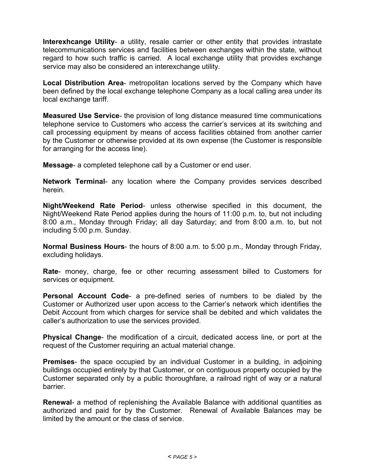**Interexhcange Utility**- a utility, resale carrier or other entity that provides intrastate telecommunications services and facilities between exchanges within the state, without regard to how such traffic is carried. A local exchange utility that provides exchange service may also be considered an interexchange utility.

**Local Distribution Area**- metropolitan locations served by the Company which have been defined by the local exchange telephone Company as a local calling area under its local exchange tariff.

**Measured Use Service**- the provision of long distance measured time communications telephone service to Customers who access the carrier's services at its switching and call processing equipment by means of access facilities obtained from another carrier by the Customer or otherwise provided at its own expense (the Customer is responsible for arranging for the access line).

**Message**- a completed telephone call by a Customer or end user.

**Network Terminal**- any location where the Company provides services described herein.

**Night/Weekend Rate Period**- unless otherwise specified in this document, the Night/Weekend Rate Period applies during the hours of 11:00 p.m. to, but not including 8:00 a.m., Monday through Friday; all day Saturday; and from 8:00 a.m. to, but not including 5:00 p.m. Sunday.

**Normal Business Hours**- the hours of 8:00 a.m. to 5:00 p.m., Monday through Friday, excluding holidays.

**Rate**- money, charge, fee or other recurring assessment billed to Customers for services or equipment.

**Personal Account Code**- a pre-defined series of numbers to be dialed by the Customer or Authorized user upon access to the Carrier's network which identifies the Debit Account from which charges for service shall be debited and which validates the caller's authorization to use the services provided.

**Physical Change**- the modification of a circuit, dedicated access line, or port at the request of the Customer requiring an actual material change.

**Premises**- the space occupied by an individual Customer in a building, in adjoining buildings occupied entirely by that Customer, or on contiguous property occupied by the Customer separated only by a public thoroughfare, a railroad right of way or a natural barrier.

**Renewal**- a method of replenishing the Available Balance with additional quantities as authorized and paid for by the Customer. Renewal of Available Balances may be limited by the amount or the class of service.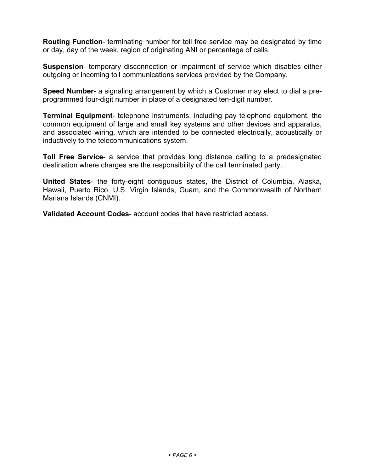**Routing Function**- terminating number for toll free service may be designated by time or day, day of the week, region of originating ANI or percentage of calls.

**Suspension**- temporary disconnection or impairment of service which disables either outgoing or incoming toll communications services provided by the Company.

**Speed Number**- a signaling arrangement by which a Customer may elect to dial a preprogrammed four-digit number in place of a designated ten-digit number.

**Terminal Equipment**- telephone instruments, including pay telephone equipment, the common equipment of large and small key systems and other devices and apparatus, and associated wiring, which are intended to be connected electrically, acoustically or inductively to the telecommunications system.

**Toll Free Service**- a service that provides long distance calling to a predesignated destination where charges are the responsibility of the call terminated party.

**United States**- the forty-eight contiguous states, the District of Columbia, Alaska, Hawaii, Puerto Rico, U.S. Virgin Islands, Guam, and the Commonwealth of Northern Mariana Islands (CNMI).

**Validated Account Codes**- account codes that have restricted access.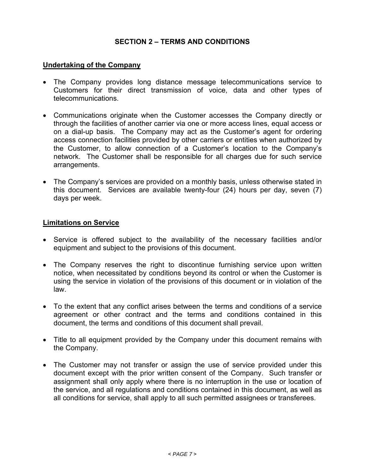# **SECTION 2 – TERMS AND CONDITIONS**

#### **Undertaking of the Company**

- The Company provides long distance message telecommunications service to Customers for their direct transmission of voice, data and other types of telecommunications.
- Communications originate when the Customer accesses the Company directly or through the facilities of another carrier via one or more access lines, equal access or on a dial-up basis. The Company may act as the Customer's agent for ordering access connection facilities provided by other carriers or entities when authorized by the Customer, to allow connection of a Customer's location to the Company's network. The Customer shall be responsible for all charges due for such service arrangements.
- The Company's services are provided on a monthly basis, unless otherwise stated in this document. Services are available twenty-four (24) hours per day, seven (7) days per week.

#### **Limitations on Service**

- Service is offered subject to the availability of the necessary facilities and/or equipment and subject to the provisions of this document.
- The Company reserves the right to discontinue furnishing service upon written notice, when necessitated by conditions beyond its control or when the Customer is using the service in violation of the provisions of this document or in violation of the law.
- To the extent that any conflict arises between the terms and conditions of a service agreement or other contract and the terms and conditions contained in this document, the terms and conditions of this document shall prevail.
- Title to all equipment provided by the Company under this document remains with the Company.
- The Customer may not transfer or assign the use of service provided under this document except with the prior written consent of the Company. Such transfer or assignment shall only apply where there is no interruption in the use or location of the service, and all regulations and conditions contained in this document, as well as all conditions for service, shall apply to all such permitted assignees or transferees.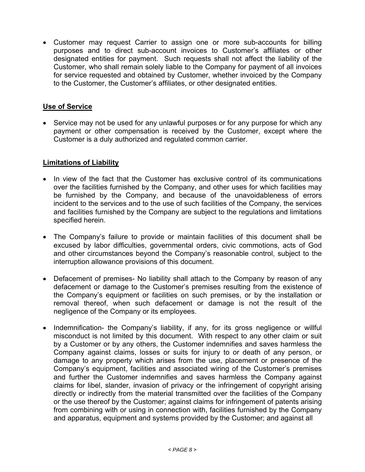Customer may request Carrier to assign one or more sub-accounts for billing purposes and to direct sub-account invoices to Customer's affiliates or other designated entities for payment. Such requests shall not affect the liability of the Customer, who shall remain solely liable to the Company for payment of all invoices for service requested and obtained by Customer, whether invoiced by the Company to the Customer, the Customer's affiliates, or other designated entities.

## **Use of Service**

• Service may not be used for any unlawful purposes or for any purpose for which any payment or other compensation is received by the Customer, except where the Customer is a duly authorized and regulated common carrier.

## **Limitations of Liability**

- In view of the fact that the Customer has exclusive control of its communications over the facilities furnished by the Company, and other uses for which facilities may be furnished by the Company, and because of the unavoidableness of errors incident to the services and to the use of such facilities of the Company, the services and facilities furnished by the Company are subject to the regulations and limitations specified herein.
- The Company's failure to provide or maintain facilities of this document shall be excused by labor difficulties, governmental orders, civic commotions, acts of God and other circumstances beyond the Company's reasonable control, subject to the interruption allowance provisions of this document.
- Defacement of premises- No liability shall attach to the Company by reason of any defacement or damage to the Customer's premises resulting from the existence of the Company's equipment or facilities on such premises, or by the installation or removal thereof, when such defacement or damage is not the result of the negligence of the Company or its employees.
- Indemnification- the Company's liability, if any, for its gross negligence or willful misconduct is not limited by this document. With respect to any other claim or suit by a Customer or by any others, the Customer indemnifies and saves harmless the Company against claims, losses or suits for injury to or death of any person, or damage to any property which arises from the use, placement or presence of the Company's equipment, facilities and associated wiring of the Customer's premises and further the Customer indemnifies and saves harmless the Company against claims for libel, slander, invasion of privacy or the infringement of copyright arising directly or indirectly from the material transmitted over the facilities of the Company or the use thereof by the Customer; against claims for infringement of patents arising from combining with or using in connection with, facilities furnished by the Company and apparatus, equipment and systems provided by the Customer; and against all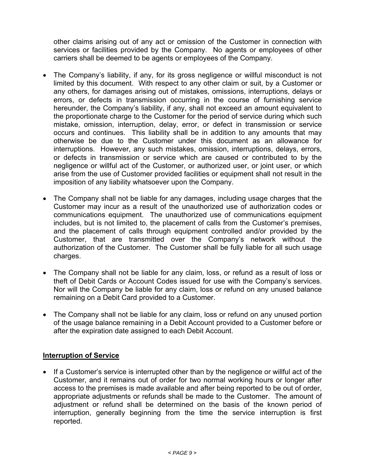other claims arising out of any act or omission of the Customer in connection with services or facilities provided by the Company. No agents or employees of other carriers shall be deemed to be agents or employees of the Company.

- The Company's liability, if any, for its gross negligence or willful misconduct is not limited by this document. With respect to any other claim or suit, by a Customer or any others, for damages arising out of mistakes, omissions, interruptions, delays or errors, or defects in transmission occurring in the course of furnishing service hereunder, the Company's liability, if any, shall not exceed an amount equivalent to the proportionate charge to the Customer for the period of service during which such mistake, omission, interruption, delay, error, or defect in transmission or service occurs and continues. This liability shall be in addition to any amounts that may otherwise be due to the Customer under this document as an allowance for interruptions. However, any such mistakes, omission, interruptions, delays, errors, or defects in transmission or service which are caused or contributed to by the negligence or willful act of the Customer, or authorized user, or joint user, or which arise from the use of Customer provided facilities or equipment shall not result in the imposition of any liability whatsoever upon the Company.
- The Company shall not be liable for any damages, including usage charges that the Customer may incur as a result of the unauthorized use of authorization codes or communications equipment. The unauthorized use of communications equipment includes, but is not limited to, the placement of calls from the Customer's premises, and the placement of calls through equipment controlled and/or provided by the Customer, that are transmitted over the Company's network without the authorization of the Customer. The Customer shall be fully liable for all such usage charges.
- The Company shall not be liable for any claim, loss, or refund as a result of loss or theft of Debit Cards or Account Codes issued for use with the Company's services. Nor will the Company be liable for any claim, loss or refund on any unused balance remaining on a Debit Card provided to a Customer.
- The Company shall not be liable for any claim, loss or refund on any unused portion of the usage balance remaining in a Debit Account provided to a Customer before or after the expiration date assigned to each Debit Account.

# **Interruption of Service**

 If a Customer's service is interrupted other than by the negligence or willful act of the Customer, and it remains out of order for two normal working hours or longer after access to the premises is made available and after being reported to be out of order, appropriate adjustments or refunds shall be made to the Customer. The amount of adjustment or refund shall be determined on the basis of the known period of interruption, generally beginning from the time the service interruption is first reported.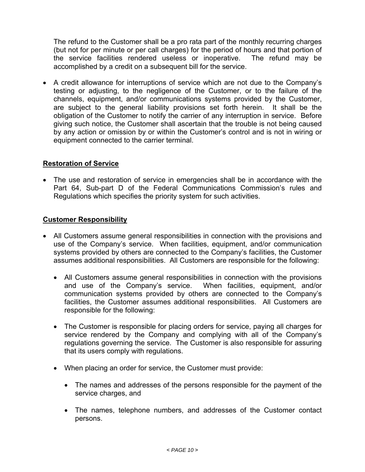The refund to the Customer shall be a pro rata part of the monthly recurring charges (but not for per minute or per call charges) for the period of hours and that portion of the service facilities rendered useless or inoperative. The refund may be accomplished by a credit on a subsequent bill for the service.

 A credit allowance for interruptions of service which are not due to the Company's testing or adjusting, to the negligence of the Customer, or to the failure of the channels, equipment, and/or communications systems provided by the Customer, are subject to the general liability provisions set forth herein. It shall be the obligation of the Customer to notify the carrier of any interruption in service. Before giving such notice, the Customer shall ascertain that the trouble is not being caused by any action or omission by or within the Customer's control and is not in wiring or equipment connected to the carrier terminal.

## **Restoration of Service**

 The use and restoration of service in emergencies shall be in accordance with the Part 64, Sub-part D of the Federal Communications Commission's rules and Regulations which specifies the priority system for such activities.

#### **Customer Responsibility**

- All Customers assume general responsibilities in connection with the provisions and use of the Company's service. When facilities, equipment, and/or communication systems provided by others are connected to the Company's facilities, the Customer assumes additional responsibilities. All Customers are responsible for the following:
	- All Customers assume general responsibilities in connection with the provisions and use of the Company's service. When facilities, equipment, and/or communication systems provided by others are connected to the Company's facilities, the Customer assumes additional responsibilities. All Customers are responsible for the following:
	- The Customer is responsible for placing orders for service, paying all charges for service rendered by the Company and complying with all of the Company's regulations governing the service. The Customer is also responsible for assuring that its users comply with regulations.
	- When placing an order for service, the Customer must provide:
		- The names and addresses of the persons responsible for the payment of the service charges, and
		- The names, telephone numbers, and addresses of the Customer contact persons.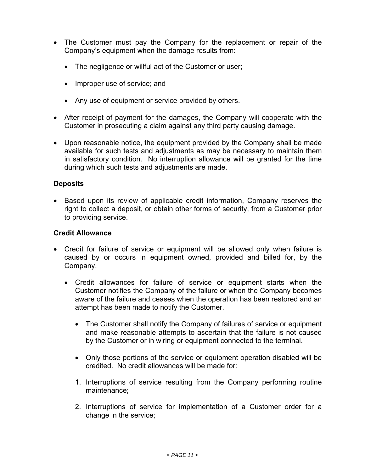- The Customer must pay the Company for the replacement or repair of the Company's equipment when the damage results from:
	- The negligence or willful act of the Customer or user;
	- Improper use of service; and
	- Any use of equipment or service provided by others.
- After receipt of payment for the damages, the Company will cooperate with the Customer in prosecuting a claim against any third party causing damage.
- Upon reasonable notice, the equipment provided by the Company shall be made available for such tests and adjustments as may be necessary to maintain them in satisfactory condition. No interruption allowance will be granted for the time during which such tests and adjustments are made.

## **Deposits**

• Based upon its review of applicable credit information, Company reserves the right to collect a deposit, or obtain other forms of security, from a Customer prior to providing service.

#### **Credit Allowance**

- Credit for failure of service or equipment will be allowed only when failure is caused by or occurs in equipment owned, provided and billed for, by the Company.
	- Credit allowances for failure of service or equipment starts when the Customer notifies the Company of the failure or when the Company becomes aware of the failure and ceases when the operation has been restored and an attempt has been made to notify the Customer.
		- The Customer shall notify the Company of failures of service or equipment and make reasonable attempts to ascertain that the failure is not caused by the Customer or in wiring or equipment connected to the terminal.
		- Only those portions of the service or equipment operation disabled will be credited. No credit allowances will be made for:
		- 1. Interruptions of service resulting from the Company performing routine maintenance;
		- 2. Interruptions of service for implementation of a Customer order for a change in the service;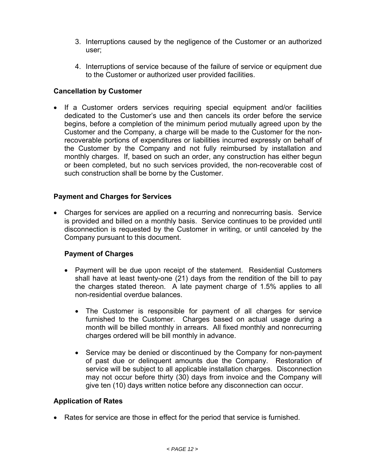- 3. Interruptions caused by the negligence of the Customer or an authorized user;
- 4. Interruptions of service because of the failure of service or equipment due to the Customer or authorized user provided facilities.

# **Cancellation by Customer**

• If a Customer orders services requiring special equipment and/or facilities dedicated to the Customer's use and then cancels its order before the service begins, before a completion of the minimum period mutually agreed upon by the Customer and the Company, a charge will be made to the Customer for the nonrecoverable portions of expenditures or liabilities incurred expressly on behalf of the Customer by the Company and not fully reimbursed by installation and monthly charges. If, based on such an order, any construction has either begun or been completed, but no such services provided, the non-recoverable cost of such construction shall be borne by the Customer.

## **Payment and Charges for Services**

 Charges for services are applied on a recurring and nonrecurring basis. Service is provided and billed on a monthly basis. Service continues to be provided until disconnection is requested by the Customer in writing, or until canceled by the Company pursuant to this document.

## **Payment of Charges**

- Payment will be due upon receipt of the statement. Residential Customers shall have at least twenty-one (21) days from the rendition of the bill to pay the charges stated thereon. A late payment charge of 1.5% applies to all non-residential overdue balances.
	- The Customer is responsible for payment of all charges for service furnished to the Customer. Charges based on actual usage during a month will be billed monthly in arrears. All fixed monthly and nonrecurring charges ordered will be bill monthly in advance.
	- Service may be denied or discontinued by the Company for non-payment of past due or delinquent amounts due the Company. Restoration of service will be subject to all applicable installation charges. Disconnection may not occur before thirty (30) days from invoice and the Company will give ten (10) days written notice before any disconnection can occur.

## **Application of Rates**

Rates for service are those in effect for the period that service is furnished.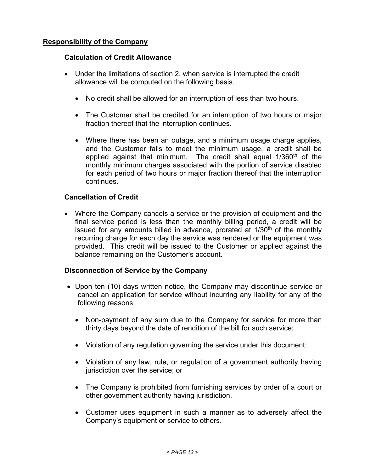# **Responsibility of the Company**

#### **Calculation of Credit Allowance**

- Under the limitations of section 2, when service is interrupted the credit allowance will be computed on the following basis.
	- No credit shall be allowed for an interruption of less than two hours.
	- The Customer shall be credited for an interruption of two hours or major fraction thereof that the interruption continues.
	- Where there has been an outage, and a minimum usage charge applies, and the Customer fails to meet the minimum usage, a credit shall be applied against that minimum. The credit shall equal 1/360<sup>th</sup> of the monthly minimum charges associated with the portion of service disabled for each period of two hours or major fraction thereof that the interruption continues.

## **Cancellation of Credit**

 Where the Company cancels a service or the provision of equipment and the final service period is less than the monthly billing period, a credit will be issued for any amounts billed in advance, prorated at  $1/30<sup>th</sup>$  of the monthly recurring charge for each day the service was rendered or the equipment was provided. This credit will be issued to the Customer or applied against the balance remaining on the Customer's account.

## **Disconnection of Service by the Company**

- Upon ten (10) days written notice, the Company may discontinue service or cancel an application for service without incurring any liability for any of the following reasons:
	- Non-payment of any sum due to the Company for service for more than thirty days beyond the date of rendition of the bill for such service;
	- Violation of any regulation governing the service under this document;
	- Violation of any law, rule, or regulation of a government authority having jurisdiction over the service; or
	- The Company is prohibited from furnishing services by order of a court or other government authority having jurisdiction.
	- Customer uses equipment in such a manner as to adversely affect the Company's equipment or service to others.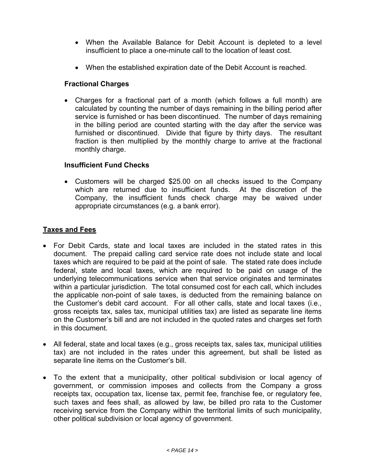- When the Available Balance for Debit Account is depleted to a level insufficient to place a one-minute call to the location of least cost.
- When the established expiration date of the Debit Account is reached.

## **Fractional Charges**

 Charges for a fractional part of a month (which follows a full month) are calculated by counting the number of days remaining in the billing period after service is furnished or has been discontinued. The number of days remaining in the billing period are counted starting with the day after the service was furnished or discontinued. Divide that figure by thirty days. The resultant fraction is then multiplied by the monthly charge to arrive at the fractional monthly charge.

# **Insufficient Fund Checks**

 Customers will be charged \$25.00 on all checks issued to the Company which are returned due to insufficient funds. At the discretion of the Company, the insufficient funds check charge may be waived under appropriate circumstances (e.g. a bank error).

## **Taxes and Fees**

- For Debit Cards, state and local taxes are included in the stated rates in this document. The prepaid calling card service rate does not include state and local taxes which are required to be paid at the point of sale. The stated rate does include federal, state and local taxes, which are required to be paid on usage of the underlying telecommunications service when that service originates and terminates within a particular jurisdiction. The total consumed cost for each call, which includes the applicable non-point of sale taxes, is deducted from the remaining balance on the Customer's debit card account. For all other calls, state and local taxes (i.e., gross receipts tax, sales tax, municipal utilities tax) are listed as separate line items on the Customer's bill and are not included in the quoted rates and charges set forth in this document.
- All federal, state and local taxes (e.g., gross receipts tax, sales tax, municipal utilities tax) are not included in the rates under this agreement, but shall be listed as separate line items on the Customer's bill.
- To the extent that a municipality, other political subdivision or local agency of government, or commission imposes and collects from the Company a gross receipts tax, occupation tax, license tax, permit fee, franchise fee, or regulatory fee, such taxes and fees shall, as allowed by law, be billed pro rata to the Customer receiving service from the Company within the territorial limits of such municipality, other political subdivision or local agency of government.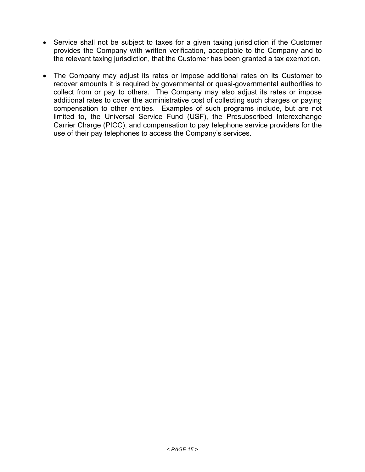- Service shall not be subject to taxes for a given taxing jurisdiction if the Customer provides the Company with written verification, acceptable to the Company and to the relevant taxing jurisdiction, that the Customer has been granted a tax exemption.
- The Company may adjust its rates or impose additional rates on its Customer to recover amounts it is required by governmental or quasi-governmental authorities to collect from or pay to others. The Company may also adjust its rates or impose additional rates to cover the administrative cost of collecting such charges or paying compensation to other entities. Examples of such programs include, but are not limited to, the Universal Service Fund (USF), the Presubscribed Interexchange Carrier Charge (PICC), and compensation to pay telephone service providers for the use of their pay telephones to access the Company's services.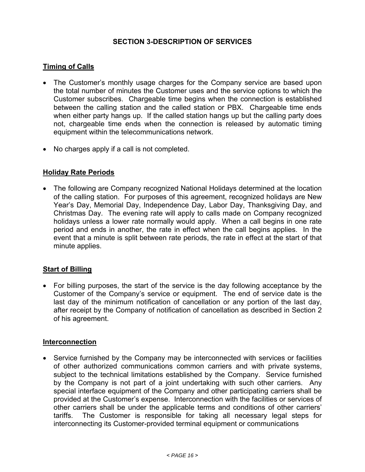# **SECTION 3-DESCRIPTION OF SERVICES**

# **Timing of Calls**

- The Customer's monthly usage charges for the Company service are based upon the total number of minutes the Customer uses and the service options to which the Customer subscribes. Chargeable time begins when the connection is established between the calling station and the called station or PBX. Chargeable time ends when either party hangs up. If the called station hangs up but the calling party does not, chargeable time ends when the connection is released by automatic timing equipment within the telecommunications network.
- No charges apply if a call is not completed.

#### **Holiday Rate Periods**

 The following are Company recognized National Holidays determined at the location of the calling station. For purposes of this agreement, recognized holidays are New Year's Day, Memorial Day, Independence Day, Labor Day, Thanksgiving Day, and Christmas Day. The evening rate will apply to calls made on Company recognized holidays unless a lower rate normally would apply. When a call begins in one rate period and ends in another, the rate in effect when the call begins applies. In the event that a minute is split between rate periods, the rate in effect at the start of that minute applies.

## **Start of Billing**

 For billing purposes, the start of the service is the day following acceptance by the Customer of the Company's service or equipment. The end of service date is the last day of the minimum notification of cancellation or any portion of the last day, after receipt by the Company of notification of cancellation as described in Section 2 of his agreement.

#### **Interconnection**

• Service furnished by the Company may be interconnected with services or facilities of other authorized communications common carriers and with private systems, subject to the technical limitations established by the Company. Service furnished by the Company is not part of a joint undertaking with such other carriers. Any special interface equipment of the Company and other participating carriers shall be provided at the Customer's expense. Interconnection with the facilities or services of other carriers shall be under the applicable terms and conditions of other carriers' tariffs. The Customer is responsible for taking all necessary legal steps for interconnecting its Customer-provided terminal equipment or communications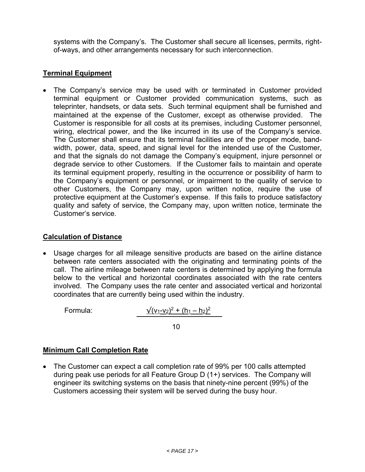systems with the Company's. The Customer shall secure all licenses, permits, rightof-ways, and other arrangements necessary for such interconnection.

# **Terminal Equipment**

 The Company's service may be used with or terminated in Customer provided terminal equipment or Customer provided communication systems, such as teleprinter, handsets, or data sets. Such terminal equipment shall be furnished and maintained at the expense of the Customer, except as otherwise provided. The Customer is responsible for all costs at its premises, including Customer personnel, wiring, electrical power, and the like incurred in its use of the Company's service. The Customer shall ensure that its terminal facilities are of the proper mode, bandwidth, power, data, speed, and signal level for the intended use of the Customer, and that the signals do not damage the Company's equipment, injure personnel or degrade service to other Customers. If the Customer fails to maintain and operate its terminal equipment properly, resulting in the occurrence or possibility of harm to the Company's equipment or personnel, or impairment to the quality of service to other Customers, the Company may, upon written notice, require the use of protective equipment at the Customer's expense. If this fails to produce satisfactory quality and safety of service, the Company may, upon written notice, terminate the Customer's service.

## **Calculation of Distance**

 Usage charges for all mileage sensitive products are based on the airline distance between rate centers associated with the originating and terminating points of the call. The airline mileage between rate centers is determined by applying the formula below to the vertical and horizontal coordinates associated with the rate centers involved. The Company uses the rate center and associated vertical and horizontal coordinates that are currently being used within the industry.

Formula:

$$
\sqrt{(v_1-v_2)^2+(h_1-h_2)^2}
$$

 $10$ 

## **Minimum Call Completion Rate**

 The Customer can expect a call completion rate of 99% per 100 calls attempted during peak use periods for all Feature Group D (1+) services. The Company will engineer its switching systems on the basis that ninety-nine percent (99%) of the Customers accessing their system will be served during the busy hour.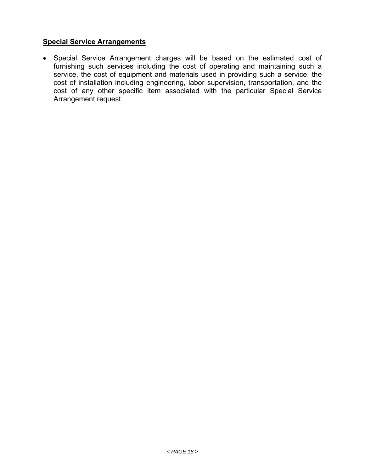# **Special Service Arrangements**

 Special Service Arrangement charges will be based on the estimated cost of furnishing such services including the cost of operating and maintaining such a service, the cost of equipment and materials used in providing such a service, the cost of installation including engineering, labor supervision, transportation, and the cost of any other specific item associated with the particular Special Service Arrangement request.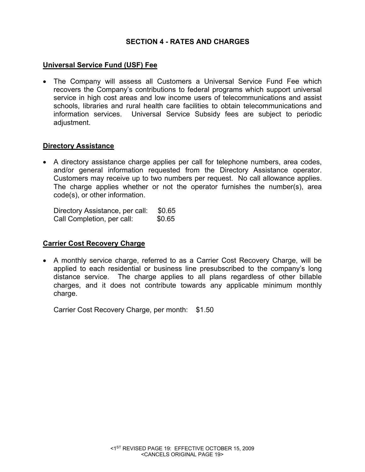# **SECTION 4 - RATES AND CHARGES**

#### **Universal Service Fund (USF) Fee**

 The Company will assess all Customers a Universal Service Fund Fee which recovers the Company's contributions to federal programs which support universal service in high cost areas and low income users of telecommunications and assist schools, libraries and rural health care facilities to obtain telecommunications and information services. Universal Service Subsidy fees are subject to periodic adjustment.

#### **Directory Assistance**

 A directory assistance charge applies per call for telephone numbers, area codes, and/or general information requested from the Directory Assistance operator. Customers may receive up to two numbers per request. No call allowance applies. The charge applies whether or not the operator furnishes the number(s), area code(s), or other information.

Directory Assistance, per call: \$0.65 Call Completion, per call: \$0.65

#### **Carrier Cost Recovery Charge**

 A monthly service charge, referred to as a Carrier Cost Recovery Charge, will be applied to each residential or business line presubscribed to the company's long distance service. The charge applies to all plans regardless of other billable charges, and it does not contribute towards any applicable minimum monthly charge.

Carrier Cost Recovery Charge, per month: \$1.50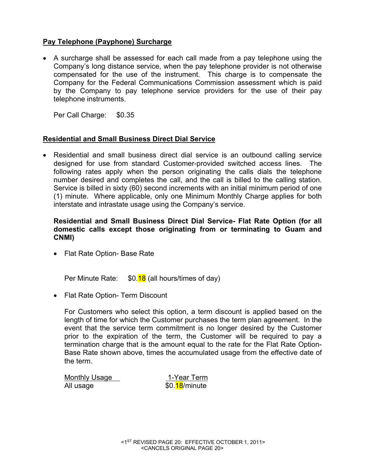# **Pay Telephone (Payphone) Surcharge**

 A surcharge shall be assessed for each call made from a pay telephone using the Company's long distance service, when the pay telephone provider is not otherwise compensated for the use of the instrument. This charge is to compensate the Company for the Federal Communications Commission assessment which is paid by the Company to pay telephone service providers for the use of their pay telephone instruments.

Per Call Charge: \$0.35

## **Residential and Small Business Direct Dial Service**

 Residential and small business direct dial service is an outbound calling service designed for use from standard Customer-provided switched access lines. The following rates apply when the person originating the calls dials the telephone number desired and completes the call, and the call is billed to the calling station. Service is billed in sixty (60) second increments with an initial minimum period of one (1) minute. Where applicable, only one Minimum Monthly Charge applies for both interstate and intrastate usage using the Company's service.

## **Residential and Small Business Direct Dial Service- Flat Rate Option (for all domestic calls except those originating from or terminating to Guam and CNMI)**

• Flat Rate Option- Base Rate

Per Minute Rate:  $$0.18$  (all hours/times of day)

• Flat Rate Option- Term Discount

For Customers who select this option, a term discount is applied based on the length of time for which the Customer purchases the term plan agreement. In the event that the service term commitment is no longer desired by the Customer prior to the expiration of the term, the Customer will be required to pay a termination charge that is the amount equal to the rate for the Flat Rate Option-Base Rate shown above, times the accumulated usage from the effective date of the term.

Monthly Usage 1-Year Term All usage  $$0.18/m$ inute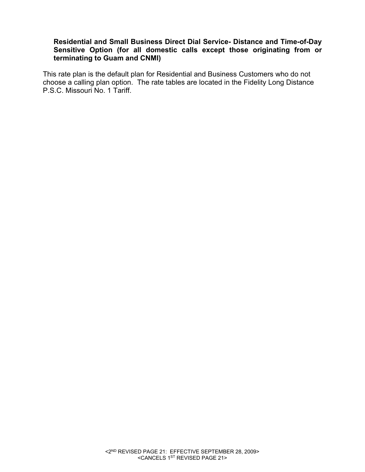## **Residential and Small Business Direct Dial Service- Distance and Time-of-Day Sensitive Option (for all domestic calls except those originating from or terminating to Guam and CNMI)**

This rate plan is the default plan for Residential and Business Customers who do not choose a calling plan option. The rate tables are located in the Fidelity Long Distance P.S.C. Missouri No. 1 Tariff.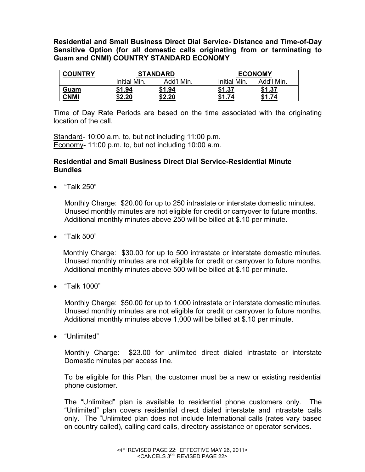**Residential and Small Business Direct Dial Service- Distance and Time-of-Day Sensitive Option (for all domestic calls originating from or terminating to Guam and CNMI) COUNTRY STANDARD ECONOMY** 

| <b>COUNTRY</b> | <b>STANDARD</b> |            |              | <b>ECONOMY</b> |  |
|----------------|-----------------|------------|--------------|----------------|--|
|                | Initial Min.    | Add'l Min. | Initial Min. | Add'l Min.     |  |
| Guam           | \$1.94          | \$1.94     | \$1.37       | \$1.37         |  |
| CNMI           | \$2.20          | \$2.20     | 74<br>\$1    | 74<br>J.       |  |

Time of Day Rate Periods are based on the time associated with the originating location of the call.

Standard- 10:00 a.m. to, but not including 11:00 p.m. Economy- 11:00 p.m. to, but not including 10:00 a.m.

#### **Residential and Small Business Direct Dial Service-Residential Minute Bundles**

"Talk 250"

Monthly Charge: \$20.00 for up to 250 intrastate or interstate domestic minutes. Unused monthly minutes are not eligible for credit or carryover to future months. Additional monthly minutes above 250 will be billed at \$.10 per minute.

"Talk 500"

 Monthly Charge: \$30.00 for up to 500 intrastate or interstate domestic minutes. Unused monthly minutes are not eligible for credit or carryover to future months. Additional monthly minutes above 500 will be billed at \$.10 per minute.

"Talk 1000"

Monthly Charge: \$50.00 for up to 1,000 intrastate or interstate domestic minutes. Unused monthly minutes are not eligible for credit or carryover to future months. Additional monthly minutes above 1,000 will be billed at \$.10 per minute.

"Unlimited"

Monthly Charge: \$23.00 for unlimited direct dialed intrastate or interstate Domestic minutes per access line.

To be eligible for this Plan, the customer must be a new or existing residential phone customer.

The "Unlimited" plan is available to residential phone customers only. The "Unlimited" plan covers residential direct dialed interstate and intrastate calls only. The "Unlimited plan does not include International calls (rates vary based on country called), calling card calls, directory assistance or operator services.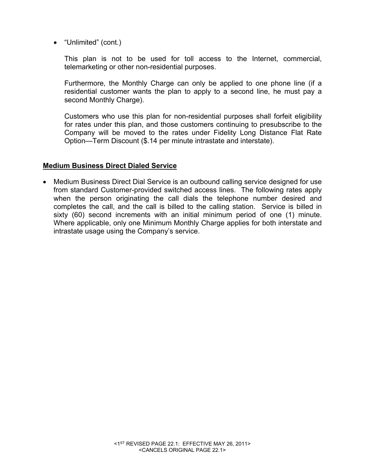• "Unlimited" (cont.)

This plan is not to be used for toll access to the Internet, commercial, telemarketing or other non-residential purposes.

Furthermore, the Monthly Charge can only be applied to one phone line (if a residential customer wants the plan to apply to a second line, he must pay a second Monthly Charge).

Customers who use this plan for non-residential purposes shall forfeit eligibility for rates under this plan, and those customers continuing to presubscribe to the Company will be moved to the rates under Fidelity Long Distance Flat Rate Option—Term Discount (\$.14 per minute intrastate and interstate).

## **Medium Business Direct Dialed Service**

 Medium Business Direct Dial Service is an outbound calling service designed for use from standard Customer-provided switched access lines. The following rates apply when the person originating the call dials the telephone number desired and completes the call, and the call is billed to the calling station. Service is billed in sixty (60) second increments with an initial minimum period of one (1) minute. Where applicable, only one Minimum Monthly Charge applies for both interstate and intrastate usage using the Company's service.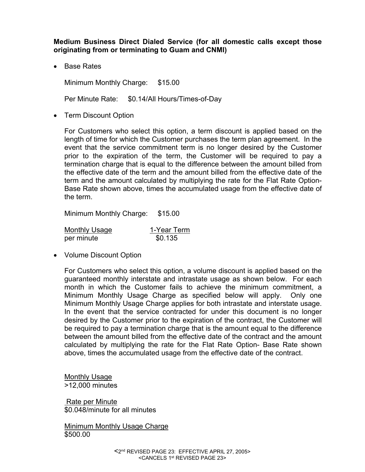**Medium Business Direct Dialed Service (for all domestic calls except those originating from or terminating to Guam and CNMI)** 

• Base Rates

Minimum Monthly Charge: \$15.00

Per Minute Rate: \$0.14/All Hours/Times-of-Day

• Term Discount Option

For Customers who select this option, a term discount is applied based on the length of time for which the Customer purchases the term plan agreement. In the event that the service commitment term is no longer desired by the Customer prior to the expiration of the term, the Customer will be required to pay a termination charge that is equal to the difference between the amount billed from the effective date of the term and the amount billed from the effective date of the term and the amount calculated by multiplying the rate for the Flat Rate Option-Base Rate shown above, times the accumulated usage from the effective date of the term.

Minimum Monthly Charge: \$15.00

| <b>Monthly Usage</b> | 1-Year Term |  |
|----------------------|-------------|--|
| per minute           | \$0.135     |  |

• Volume Discount Option

For Customers who select this option, a volume discount is applied based on the guaranteed monthly interstate and intrastate usage as shown below. For each month in which the Customer fails to achieve the minimum commitment, a Minimum Monthly Usage Charge as specified below will apply. Only one Minimum Monthly Usage Charge applies for both intrastate and interstate usage. In the event that the service contracted for under this document is no longer desired by the Customer prior to the expiration of the contract, the Customer will be required to pay a termination charge that is the amount equal to the difference between the amount billed from the effective date of the contract and the amount calculated by multiplying the rate for the Flat Rate Option- Base Rate shown above, times the accumulated usage from the effective date of the contract.

Monthly Usage >12,000 minutes

 Rate per Minute \$0.048/minute for all minutes

Minimum Monthly Usage Charge \$500.00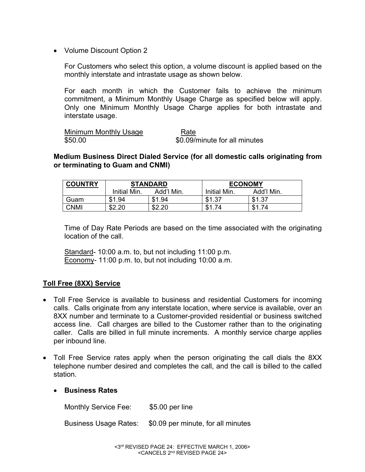• Volume Discount Option 2

For Customers who select this option, a volume discount is applied based on the monthly interstate and intrastate usage as shown below.

For each month in which the Customer fails to achieve the minimum commitment, a Minimum Monthly Usage Charge as specified below will apply. Only one Minimum Monthly Usage Charge applies for both intrastate and interstate usage.

Minimum Monthly Usage Rate \$50.00 \$0.09/minute for all minutes

**Medium Business Direct Dialed Service (for all domestic calls originating from or terminating to Guam and CNMI)** 

| <b>COUNTRY</b> | <b>STANDARD</b> |            |              | <b>ECONOMY</b> |  |
|----------------|-----------------|------------|--------------|----------------|--|
|                | Initial Min.    | Add'l Min. | Initial Min. | Add'l Min.     |  |
| Guam           | .94<br>\$1      | \$1.94     | - 37         | \$1.37         |  |
| <b>CNMI</b>    | ഹ               | \$2.20     |              | \$1<br>74      |  |

Time of Day Rate Periods are based on the time associated with the originating location of the call.

Standard- 10:00 a.m. to, but not including 11:00 p.m. Economy- 11:00 p.m. to, but not including 10:00 a.m.

## **Toll Free (8XX) Service**

- Toll Free Service is available to business and residential Customers for incoming calls. Calls originate from any interstate location, where service is available, over an 8XX number and terminate to a Customer-provided residential or business switched access line. Call charges are billed to the Customer rather than to the originating caller. Calls are billed in full minute increments. A monthly service charge applies per inbound line.
- Toll Free Service rates apply when the person originating the call dials the 8XX telephone number desired and completes the call, and the call is billed to the called station.
	- **Business Rates**

Monthly Service Fee: \$5.00 per line

Business Usage Rates: \$0.09 per minute, for all minutes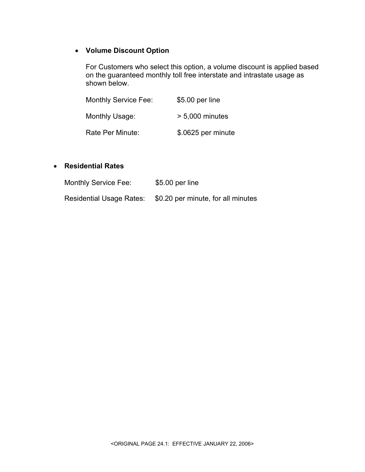# **Volume Discount Option**

For Customers who select this option, a volume discount is applied based on the guaranteed monthly toll free interstate and intrastate usage as shown below.

| <b>Monthly Service Fee:</b> | \$5.00 per line    |
|-----------------------------|--------------------|
| Monthly Usage:              | $> 5.000$ minutes  |
| Rate Per Minute:            | \$.0625 per minute |

#### **Residential Rates**

| Monthly Service Fee:            | $$5.00$ per line                   |
|---------------------------------|------------------------------------|
| <b>Residential Usage Rates:</b> | \$0.20 per minute, for all minutes |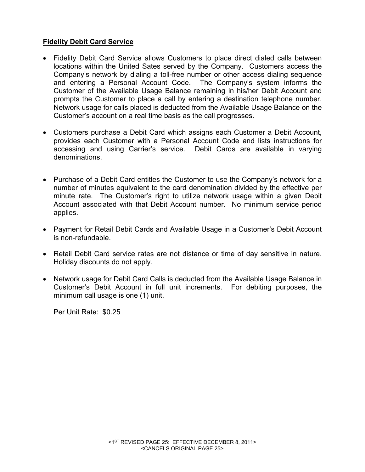# **Fidelity Debit Card Service**

- Fidelity Debit Card Service allows Customers to place direct dialed calls between locations within the United Sates served by the Company. Customers access the Company's network by dialing a toll-free number or other access dialing sequence and entering a Personal Account Code. The Company's system informs the Customer of the Available Usage Balance remaining in his/her Debit Account and prompts the Customer to place a call by entering a destination telephone number. Network usage for calls placed is deducted from the Available Usage Balance on the Customer's account on a real time basis as the call progresses.
- Customers purchase a Debit Card which assigns each Customer a Debit Account, provides each Customer with a Personal Account Code and lists instructions for accessing and using Carrier's service. Debit Cards are available in varying denominations.
- Purchase of a Debit Card entitles the Customer to use the Company's network for a number of minutes equivalent to the card denomination divided by the effective per minute rate. The Customer's right to utilize network usage within a given Debit Account associated with that Debit Account number. No minimum service period applies.
- Payment for Retail Debit Cards and Available Usage in a Customer's Debit Account is non-refundable.
- Retail Debit Card service rates are not distance or time of day sensitive in nature. Holiday discounts do not apply.
- Network usage for Debit Card Calls is deducted from the Available Usage Balance in Customer's Debit Account in full unit increments. For debiting purposes, the minimum call usage is one (1) unit.

Per Unit Rate: \$0.25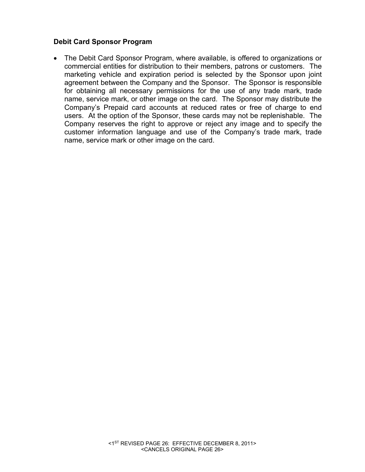# **Debit Card Sponsor Program**

 The Debit Card Sponsor Program, where available, is offered to organizations or commercial entities for distribution to their members, patrons or customers. The marketing vehicle and expiration period is selected by the Sponsor upon joint agreement between the Company and the Sponsor. The Sponsor is responsible for obtaining all necessary permissions for the use of any trade mark, trade name, service mark, or other image on the card. The Sponsor may distribute the Company's Prepaid card accounts at reduced rates or free of charge to end users. At the option of the Sponsor, these cards may not be replenishable. The Company reserves the right to approve or reject any image and to specify the customer information language and use of the Company's trade mark, trade name, service mark or other image on the card.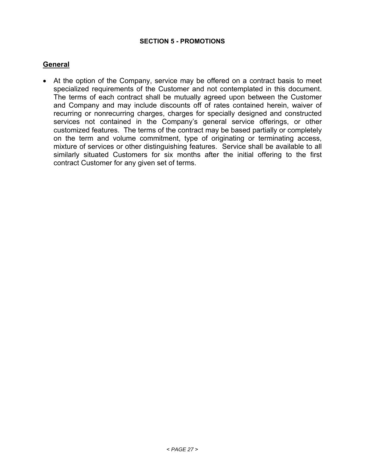#### **SECTION 5 - PROMOTIONS**

## **General**

 At the option of the Company, service may be offered on a contract basis to meet specialized requirements of the Customer and not contemplated in this document. The terms of each contract shall be mutually agreed upon between the Customer and Company and may include discounts off of rates contained herein, waiver of recurring or nonrecurring charges, charges for specially designed and constructed services not contained in the Company's general service offerings, or other customized features. The terms of the contract may be based partially or completely on the term and volume commitment, type of originating or terminating access, mixture of services or other distinguishing features. Service shall be available to all similarly situated Customers for six months after the initial offering to the first contract Customer for any given set of terms.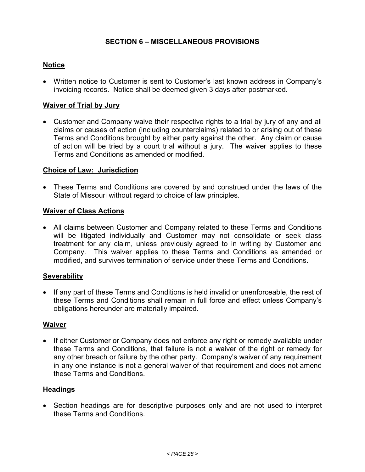# **SECTION 6 – MISCELLANEOUS PROVISIONS**

## **Notice**

 Written notice to Customer is sent to Customer's last known address in Company's invoicing records. Notice shall be deemed given 3 days after postmarked.

## **Waiver of Trial by Jury**

 Customer and Company waive their respective rights to a trial by jury of any and all claims or causes of action (including counterclaims) related to or arising out of these Terms and Conditions brought by either party against the other. Any claim or cause of action will be tried by a court trial without a jury. The waiver applies to these Terms and Conditions as amended or modified.

## **Choice of Law: Jurisdiction**

 These Terms and Conditions are covered by and construed under the laws of the State of Missouri without regard to choice of law principles.

#### **Waiver of Class Actions**

 All claims between Customer and Company related to these Terms and Conditions will be litigated individually and Customer may not consolidate or seek class treatment for any claim, unless previously agreed to in writing by Customer and Company. This waiver applies to these Terms and Conditions as amended or modified, and survives termination of service under these Terms and Conditions.

#### **Severability**

• If any part of these Terms and Conditions is held invalid or unenforceable, the rest of these Terms and Conditions shall remain in full force and effect unless Company's obligations hereunder are materially impaired.

#### **Waiver**

• If either Customer or Company does not enforce any right or remedy available under these Terms and Conditions, that failure is not a waiver of the right or remedy for any other breach or failure by the other party. Company's waiver of any requirement in any one instance is not a general waiver of that requirement and does not amend these Terms and Conditions.

#### **Headings**

 Section headings are for descriptive purposes only and are not used to interpret these Terms and Conditions.